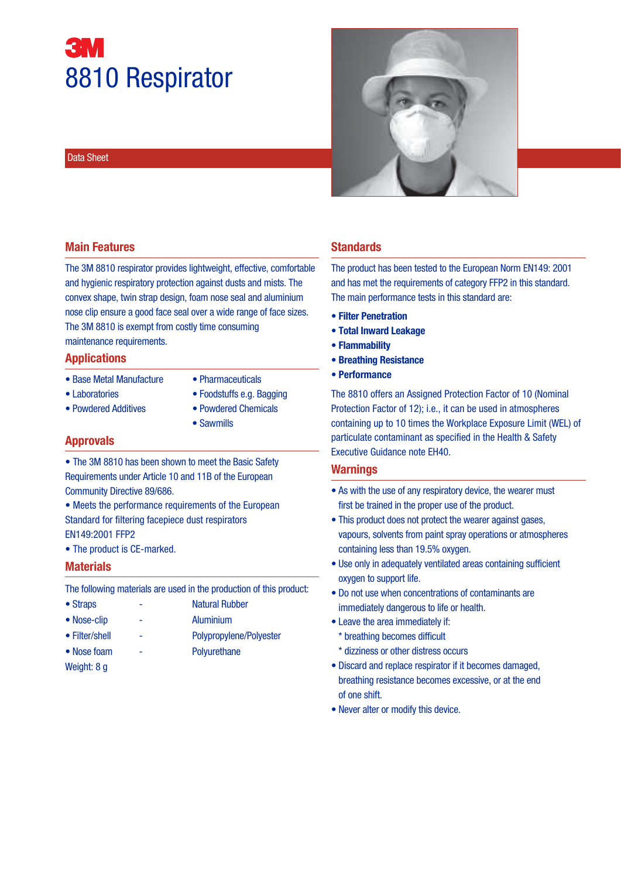# 8810 Respirator

#### Data Sheet



#### **Main Features**

The 3M 8810 respirator provides lightweight, effective, comfortable and hygienic respiratory protection against dusts and mists. The convex shape, twin strap design, foam nose seal and aluminium nose clip ensure a good face seal over a wide range of face sizes. The 3M 8810 is exempt from costly time consuming maintenance requirements.

#### **Applications**

- Base Metal Manufacture Pharmaceuticals
	-
- 
- Laboratories Foodstuffs e.g. Bagging
- Powdered Additives Powdered Chemicals
- - Sawmills

#### **Approvals**

- The 3M 8810 has been shown to meet the Basic Safety Requirements under Article 10 and 11B of the European Community Directive 89/686.
- Meets the performance requirements of the European Standard for filtering facepiece dust respirators EN149:2001 FFP2
- The product is CE-marked.

#### **Materials**

The following materials are used in the production of this product:

- Straps Natural Rubber
- Nose-clip Aluminium
- Filter/shell Polypropylene/Polyester
- Nose foam Polyurethane
- Weight: 8 g

#### **Standards**

The product has been tested to the European Norm EN149: 2001 and has met the requirements of category FFP2 in this standard. The main performance tests in this standard are:

- **Filter Penetration**
- **Total Inward Leakage**
- **Flammability**
- **Breathing Resistance**
- **Performance**

The 8810 offers an Assigned Protection Factor of 10 (Nominal Protection Factor of 12); i.e., it can be used in atmospheres containing up to 10 times the Workplace Exposure Limit (WEL) of particulate contaminant as specified in the Health & Safety Executive Guidance note EH40.

#### **Warnings**

- As with the use of any respiratory device, the wearer must first be trained in the proper use of the product.
- This product does not protect the wearer against gases, vapours, solvents from paint spray operations or atmospheres containing less than 19.5% oxygen.
- Use only in adequately ventilated areas containing sufficient oxygen to support life.
- Do not use when concentrations of contaminants are immediately dangerous to life or health.
- Leave the area immediately if:
- \* breathing becomes difficult
- \* dizziness or other distress occurs
- Discard and replace respirator if it becomes damaged, breathing resistance becomes excessive, or at the end of one shift.
- Never alter or modify this device.